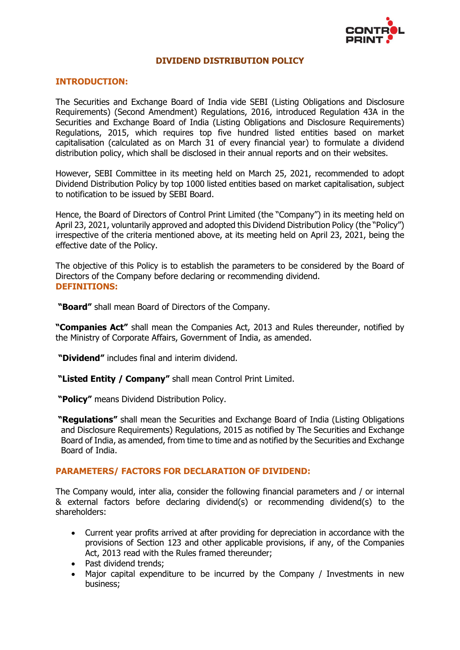

#### **DIVIDEND DISTRIBUTION POLICY**

# **INTRODUCTION:**

The Securities and Exchange Board of India vide SEBI (Listing Obligations and Disclosure Requirements) (Second Amendment) Regulations, 2016, introduced Regulation 43A in the Securities and Exchange Board of India (Listing Obligations and Disclosure Requirements) Regulations, 2015, which requires top five hundred listed entities based on market capitalisation (calculated as on March 31 of every financial year) to formulate a dividend distribution policy, which shall be disclosed in their annual reports and on their websites.

However, SEBI Committee in its meeting held on March 25, 2021, recommended to adopt Dividend Distribution Policy by top 1000 listed entities based on market capitalisation, subject to notification to be issued by SEBI Board.

Hence, the Board of Directors of Control Print Limited (the "Company") in its meeting held on April 23, 2021, voluntarily approved and adopted this Dividend Distribution Policy (the "Policy") irrespective of the criteria mentioned above, at its meeting held on April 23, 2021, being the effective date of the Policy.

The objective of this Policy is to establish the parameters to be considered by the Board of Directors of the Company before declaring or recommending dividend. **DEFINITIONS:**

**"Board"** shall mean Board of Directors of the Company.

**"Companies Act"** shall mean the Companies Act, 2013 and Rules thereunder, notified by the Ministry of Corporate Affairs, Government of India, as amended.

**"Dividend"** includes final and interim dividend.

**"Listed Entity / Company"** shall mean Control Print Limited.

**"Policy"** means Dividend Distribution Policy.

**"Regulations"** shall mean the Securities and Exchange Board of India (Listing Obligations and Disclosure Requirements) Regulations, 2015 as notified by The Securities and Exchange Board of India, as amended, from time to time and as notified by the Securities and Exchange Board of India.

# **PARAMETERS/ FACTORS FOR DECLARATION OF DIVIDEND:**

The Company would, inter alia, consider the following financial parameters and / or internal & external factors before declaring dividend(s) or recommending dividend(s) to the shareholders:

- Current year profits arrived at after providing for depreciation in accordance with the provisions of Section 123 and other applicable provisions, if any, of the Companies Act, 2013 read with the Rules framed thereunder;
- Past dividend trends;
- Major capital expenditure to be incurred by the Company / Investments in new business;